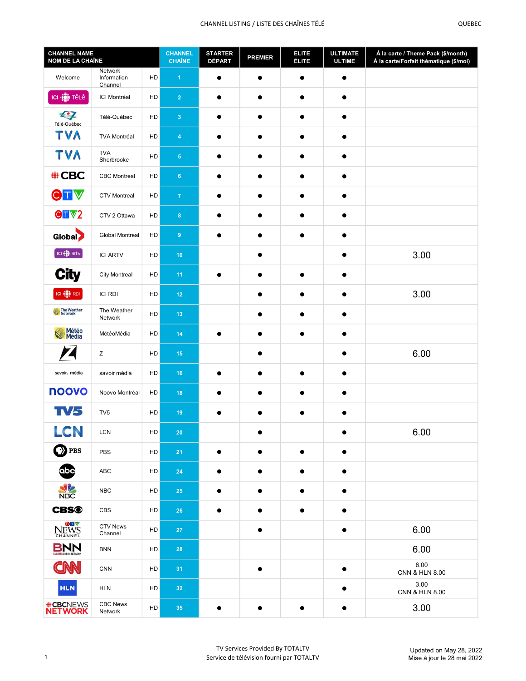| U | FR<br>г |  |
|---|---------|--|
|   |         |  |

| <b>CHANNEL NAME</b><br><b>NOM DE LA CHAÎNE</b> |                                   |    | <b>CHANNEL</b><br><b>CHAÎNE</b> | <b>STARTER</b><br><b>DÉPART</b> | <b>PREMIER</b> | <b>ELITE</b><br><b>ÉLITE</b> | <b>ULTIMATE</b><br><b>ULTIME</b> | À la carte / Theme Pack (\$/month)<br>À la carte/Forfait thématique (\$/moi) |
|------------------------------------------------|-----------------------------------|----|---------------------------------|---------------------------------|----------------|------------------------------|----------------------------------|------------------------------------------------------------------------------|
| Welcome                                        | Network<br>Information<br>Channel | HD | $\overline{\mathbf{1}}$         | $\bullet$                       | ٠              | $\bullet$                    | $\bullet$                        |                                                                              |
| ICI (O) TÊLÊ                                   | ICI Montréal                      | HD | $\overline{2}$                  | ٠                               | ٠              |                              | $\bullet$                        |                                                                              |
| $\mathcal{L}$<br>Télé-Québec                   | Télé-Québec                       | HD | $\overline{3}$                  |                                 |                | $\bullet$                    |                                  |                                                                              |
| <b>TVA</b>                                     | TVA Montréal                      | HD | $\overline{\mathbf{4}}$         | $\bullet$                       | ٠              |                              | $\bullet$                        |                                                                              |
| <b>TVA</b>                                     | <b>TVA</b><br>Sherbrooke          | HD | $\sqrt{5}$                      |                                 | $\bullet$      |                              |                                  |                                                                              |
| <b>● CBC</b>                                   | <b>CBC</b> Montreal               | HD | $\bf 6$                         |                                 |                | $\bullet$                    | $\bullet$                        |                                                                              |
| <b>OTV</b>                                     | <b>CTV Montreal</b>               | HD | $\boldsymbol{7}$                | $\bullet$                       | ٠              | $\bullet$                    | $\bullet$                        |                                                                              |
| OTV2                                           | CTV 2 Ottawa                      | HD | $\boldsymbol{8}$                | $\bullet$                       | ٠              |                              |                                  |                                                                              |
| Global <sup>2</sup>                            | <b>Global Montreal</b>            | HD | $\boldsymbol{9}$                |                                 | ٠              |                              | e                                |                                                                              |
| <b>ICI (@)</b> artv                            | <b>ICI ARTV</b>                   | HD | 10                              |                                 | ٠              |                              |                                  | 3.00                                                                         |
| <b>City</b>                                    | <b>City Montreal</b>              | HD | 11                              | $\bullet$                       | $\bullet$      | $\bullet$                    |                                  |                                                                              |
| ICI (O) RDI                                    | <b>ICI RDI</b>                    | HD | 12                              |                                 | $\bullet$      | $\bullet$                    | $\bullet$                        | 3.00                                                                         |
| The Weather<br>Network                         | The Weather<br>Network            | HD | 13                              |                                 | $\bullet$      | $\bullet$                    |                                  |                                                                              |
| Météo<br>Média                                 | MétéoMédia                        | HD | 14                              |                                 |                |                              |                                  |                                                                              |
|                                                | Ζ                                 | HD | 15                              |                                 | ٠              |                              |                                  | 6.00                                                                         |
| savoir. média                                  | savoir média                      | HD | 16                              |                                 | ٠              |                              |                                  |                                                                              |
| <b>NOOVO</b>                                   | Noovo Montréal                    | HD | 18                              |                                 |                |                              |                                  |                                                                              |
| TV5                                            | TV <sub>5</sub>                   | HD | 19                              |                                 | ٠              |                              |                                  |                                                                              |
| LCN                                            | <b>LCN</b>                        | HD | 20                              |                                 |                |                              |                                  | 6.00                                                                         |
| <b>PBS</b>                                     | PBS                               | HD | 21                              |                                 | ٠              |                              |                                  |                                                                              |
| dbc                                            | <b>ABC</b>                        | HD | 24                              |                                 | $\bullet$      | $\bullet$                    | $\bullet$                        |                                                                              |
| <b>NBC</b>                                     | <b>NBC</b>                        | HD | 25                              | ٠                               | ٠              | $\bullet$                    | $\bullet$                        |                                                                              |
| <b>CBS<sup>®</sup></b>                         | CBS                               | HD | 26                              | $\bullet$                       | ٠              | $\bullet$                    | $\bullet$                        |                                                                              |
| NEWS <sub>CHANNEL</sub>                        | <b>CTV News</b><br>Channel        | HD | 27                              |                                 | ٠              |                              | ٠                                | 6.00                                                                         |
| <b>BUSINESS NEWS NETWORK</b>                   | <b>BNN</b>                        | HD | 28                              |                                 |                |                              |                                  | 6.00                                                                         |
| <b>CNN</b>                                     | <b>CNN</b>                        | HD | 31                              |                                 | $\bullet$      |                              | $\bullet$                        | 6.00<br><b>CNN &amp; HLN 8.00</b>                                            |
| <b>HLN</b>                                     | <b>HLN</b>                        | HD | 32                              |                                 |                |                              | $\bullet$                        | 3.00<br><b>CNN &amp; HLN 8.00</b>                                            |
| #CBCNEWS<br>NETWORK                            | <b>CBC News</b><br>Network        | HD | 35                              | ٠                               | ٠              |                              |                                  | 3.00                                                                         |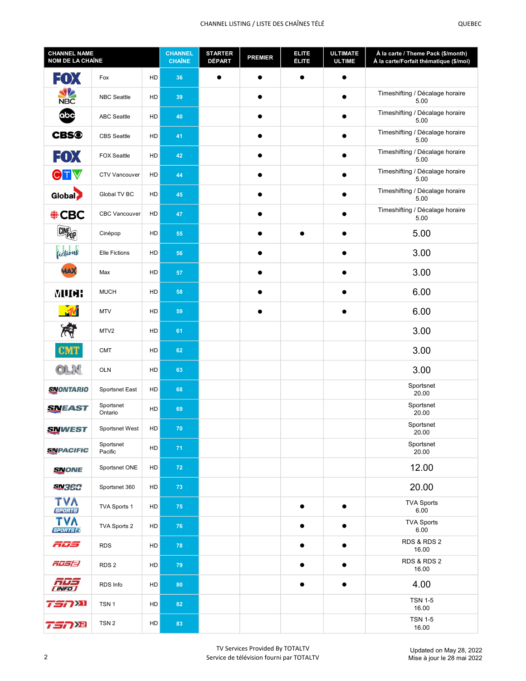| <b>CHANNEL NAME</b><br>NOM DE LA CHAÎNE |                       |    | <b>CHANNEL</b><br><b>CHAÎNE</b> | <b>STARTER</b><br><b>DÉPART</b> | <b>PREMIER</b> | ELITE<br><b>ÉLITE</b> | <b>ULTIMATE</b><br><b>ULTIME</b> | À la carte / Theme Pack (\$/month)<br>À la carte/Forfait thématique (\$/moi) |
|-----------------------------------------|-----------------------|----|---------------------------------|---------------------------------|----------------|-----------------------|----------------------------------|------------------------------------------------------------------------------|
| FOX                                     | Fox                   | HD | 36                              |                                 |                |                       | $\bullet$                        |                                                                              |
| <b>NBC</b>                              | <b>NBC Seattle</b>    | HD | 39                              |                                 | $\bullet$      |                       | $\bullet$                        | Timeshifting / Décalage horaire<br>5.00                                      |
| dbc                                     | <b>ABC Seattle</b>    | HD | 40                              |                                 |                |                       |                                  | Timeshifting / Décalage horaire<br>5.00                                      |
| <b>CBS<sup>®</sup></b>                  | <b>CBS</b> Seattle    | HD | 41                              |                                 | $\bullet$      |                       | ●                                | Timeshifting / Décalage horaire<br>5.00                                      |
| FOX                                     | <b>FOX Seattle</b>    | HD | 42                              |                                 |                |                       |                                  | Timeshifting / Décalage horaire<br>5.00                                      |
| <b>OTV</b>                              | <b>CTV Vancouver</b>  | HD | 44                              |                                 |                |                       |                                  | Timeshifting / Décalage horaire<br>5.00                                      |
| Global <sup>7</sup>                     | Global TV BC          | HD | 45                              |                                 |                |                       |                                  | Timeshifting / Décalage horaire<br>5.00                                      |
| <b>OBC</b>                              | <b>CBC Vancouver</b>  | HD | 47                              |                                 | ٠              |                       |                                  | Timeshifting / Décalage horaire<br>5.00                                      |
| <b>CINEOP</b>                           | Cinépop               | HD | 55                              |                                 |                |                       | ●                                | 5.00                                                                         |
| fictions                                | <b>Elle Fictions</b>  | HD | 56                              |                                 | ●              |                       | 0                                | 3.00                                                                         |
| <b>MAX</b>                              | Max                   | HD | 57                              |                                 |                |                       | $\bullet$                        | 3.00                                                                         |
| MUCH                                    | <b>MUCH</b>           | HD | 58                              |                                 |                |                       |                                  | 6.00                                                                         |
| M                                       | <b>MTV</b>            | HD | 59                              |                                 | $\bullet$      |                       |                                  | 6.00                                                                         |
| 府                                       | MTV2                  | HD | 61                              |                                 |                |                       |                                  | 3.00                                                                         |
| <b>CMT</b>                              | <b>CMT</b>            | HD | 62                              |                                 |                |                       |                                  | 3.00                                                                         |
| OLN                                     | <b>OLN</b>            | HD | 63                              |                                 |                |                       |                                  | 3.00                                                                         |
| <b>SNONTARIO</b>                        | <b>Sportsnet East</b> | HD | 68                              |                                 |                |                       |                                  | Sportsnet<br>20.00                                                           |
| <b>SNEAST</b>                           | Sportsnet<br>Ontario  | HD | 69                              |                                 |                |                       |                                  | Sportsnet<br>20.00                                                           |
| <b>SNWEST</b>                           | <b>Sportsnet West</b> | HD | 70                              |                                 |                |                       |                                  | Sportsnet<br>20.00                                                           |
| <b>SNPACIFIC</b>                        | Sportsnet<br>Pacific  | HD | 71                              |                                 |                |                       |                                  | Sportsnet<br>20.00                                                           |
| <b>SNONE</b>                            | Sportsnet ONE         | HD | $72$                            |                                 |                |                       |                                  | 12.00                                                                        |
| <b>SN3GC</b>                            | Sportsnet 360         | HD | 73                              |                                 |                |                       |                                  | 20.00                                                                        |
| <b>TVA</b><br><b>SPORTS</b>             | TVA Sports 1          | HD | 75                              |                                 |                | $\bullet$             |                                  | <b>TVA Sports</b><br>6.00                                                    |
| <b>TVA</b><br><b>SPORTS<sup>E</sup></b> | TVA Sports 2          | HD | 76                              |                                 |                |                       | $\bullet$                        | <b>TVA Sports</b><br>6.00                                                    |
| nos                                     | <b>RDS</b>            | HD | 78                              |                                 |                | $\bullet$             | $\bullet$                        | RDS & RDS 2<br>16.00                                                         |
| <i>ROSE</i>                             | RDS <sub>2</sub>      | HD | 79                              |                                 |                | $\bullet$             | $\bullet$                        | RDS & RDS 2<br>16.00                                                         |
| <b>FIDS</b>                             | RDS Info              | HD | 80                              |                                 |                | $\bullet$             | $\bullet$                        | 4.00                                                                         |
| 7 <i>57</i> »1                          | TSN 1                 | HD | 82                              |                                 |                |                       |                                  | <b>TSN 1-5</b><br>16.00                                                      |
| 757) <sup>2</sup>                       | TSN <sub>2</sub>      | HD | 83                              |                                 |                |                       |                                  | <b>TSN 1-5</b><br>16.00                                                      |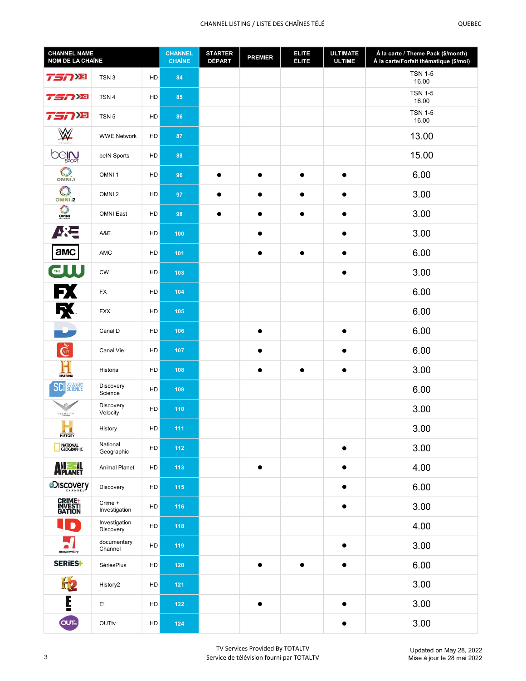| <b>CHANNEL NAME</b><br>NOM DE LA CHAÎNE |                            |    | <b>CHANNEL</b><br><b>CHAÎNE</b> | <b>STARTER</b><br><b>DÉPART</b> | <b>PREMIER</b> | <b>ELITE</b><br>ÉLITE | <b>ULTIMATE</b><br><b>ULTIME</b> | À la carte / Theme Pack (\$/month)<br>À la carte/Forfait thématique (\$/moi) |
|-----------------------------------------|----------------------------|----|---------------------------------|---------------------------------|----------------|-----------------------|----------------------------------|------------------------------------------------------------------------------|
| 757 <sup>&gt;3</sup>                    | TSN <sub>3</sub>           | HD | 84                              |                                 |                |                       |                                  | <b>TSN 1-5</b><br>16.00                                                      |
| 75724                                   | TSN <sub>4</sub>           | HD | 85                              |                                 |                |                       |                                  | <b>TSN 1-5</b><br>16.00                                                      |
| 7 <i>50</i> > 5                         | TSN <sub>5</sub>           | HD | 86                              |                                 |                |                       |                                  | <b>TSN 1-5</b><br>16.00                                                      |
|                                         | <b>WWE Network</b>         | HD | 87                              |                                 |                |                       |                                  | 13.00                                                                        |
| <b>Delpar</b>                           | belN Sports                | HD | 88                              |                                 |                |                       |                                  | 15.00                                                                        |
| $\circledcirc$<br>OMNI.1                | OMNI <sub>1</sub>          | HD | 96                              | $\bullet$                       | $\bullet$      | $\bullet$             | $\bullet$                        | 6.00                                                                         |
| $\bigcirc$<br><b>OMNI.2</b>             | OMNI <sub>2</sub>          | HD | 97                              | $\bullet$                       | $\bullet$      | $\bullet$             | $\bullet$                        | 3.00                                                                         |
| $\mathbb{Q}$                            | OMNI East                  | HD | 98                              | $\bullet$                       | $\bullet$      | $\bullet$             | $\bullet$                        | 3.00                                                                         |
| ÆĘ                                      | A&E                        | HD | 100                             |                                 | ٠              |                       |                                  | 3.00                                                                         |
| $a$ <sub>MC</sub>                       | AMC                        | HD | 101                             |                                 | $\bullet$      | $\bullet$             | $\bullet$                        | 6.00                                                                         |
| THE                                     | <b>CW</b>                  | HD | 103                             |                                 |                |                       | $\bullet$                        | 3.00                                                                         |
| FX                                      | <b>FX</b>                  | HD | 104                             |                                 |                |                       |                                  | 6.00                                                                         |
| <b>FX</b>                               | <b>FXX</b>                 | HD | 105                             |                                 |                |                       |                                  | 6.00                                                                         |
|                                         | Canal D                    | HD | 106                             |                                 | $\bullet$      |                       | $\bullet$                        | 6.00                                                                         |
| $\mathbf{C}^{\mathbf{c}}$               | Canal Vie                  | HD | 107                             |                                 | $\bullet$      |                       | $\bullet$                        | 6.00                                                                         |
| П<br><b>HISTORIA</b>                    | Historia                   | HD | 108                             |                                 | $\bullet$      | $\bullet$             | $\bullet$                        | 3.00                                                                         |
| <b>SCI</b> DISCOVERY                    | Discovery<br>Science       | HD | 109                             |                                 |                |                       |                                  | 6.00                                                                         |
| $\circ$<br>VELOCITY                     | Discovery<br>Velocity      | HD | 110                             |                                 |                |                       |                                  | 3.00                                                                         |
| TН<br>Гı<br><b>HISTORY</b>              | History                    | HD | 111                             |                                 |                |                       |                                  | 3.00                                                                         |
| NATIONAL<br>GEOGRAPHIC                  | National<br>Geographic     | HD | $112$                           |                                 |                |                       | $\bullet$                        | 3.00                                                                         |
| <b>ANIMAL</b>                           | <b>Animal Planet</b>       | HD | 113                             |                                 | $\bullet$      |                       | $\bullet$                        | 4.00                                                                         |
| Discovery                               | Discovery                  | HD | 115                             |                                 |                |                       | $\bullet$                        | 6.00                                                                         |
| <b>CRIME+</b><br>INVESTI<br>GATION      | Crime +<br>Investigation   | HD | 116                             |                                 |                |                       | $\bullet$                        | 3.00                                                                         |
|                                         | Investigation<br>Discovery | HD | 118                             |                                 |                |                       |                                  | 4.00                                                                         |
| documentary                             | documentary<br>Channel     | HD | 119                             |                                 |                |                       | $\bullet$                        | 3.00                                                                         |
| <b>SERIES-</b>                          | SériesPlus                 | HD | 120                             |                                 | $\bullet$      | $\bullet$             | $\bullet$                        | 6.00                                                                         |
| tte                                     | History2                   | HD | $121$                           |                                 |                |                       |                                  | 3.00                                                                         |
| É                                       | E!                         | HD | $122$                           |                                 | $\bullet$      |                       | $\bullet$                        | 3.00                                                                         |
| <b>OUT</b> <sub>tv</sub>                | OUTtv                      | HD | 124                             |                                 |                |                       |                                  | 3.00                                                                         |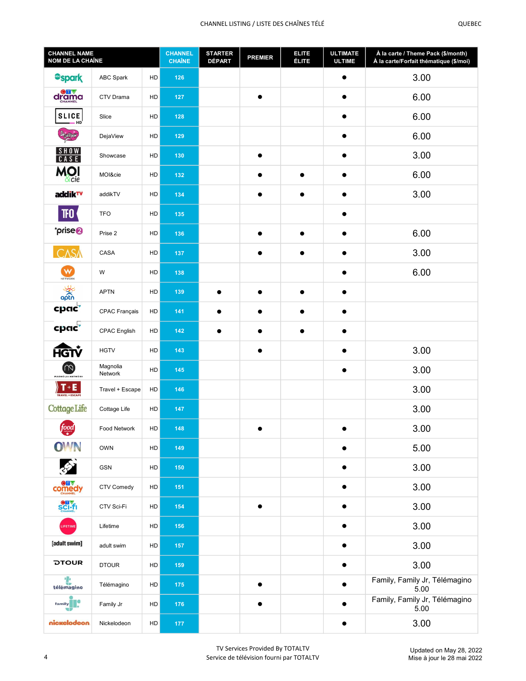| <b>CHANNEL NAME</b><br><b>NOM DE LA CHAÎNE</b>      |                     |    | <b>CHANNEL</b><br><b>CHAÎNE</b> | <b>STARTER</b><br><b>DÉPART</b> | <b>PREMIER</b> | <b>ELITE</b><br>ÉLITE | <b>ULTIMATE</b><br><b>ULTIME</b> | À la carte / Theme Pack (\$/month)<br>À la carte/Forfait thématique (\$/moi) |
|-----------------------------------------------------|---------------------|----|---------------------------------|---------------------------------|----------------|-----------------------|----------------------------------|------------------------------------------------------------------------------|
| <b>®spark</b>                                       | ABC Spark           | HD | 126                             |                                 |                |                       | $\bullet$                        | 3.00                                                                         |
| $\frac{\mathbf{O}\mathbf{U}}{\mathbf{O}\mathbf{M}}$ | CTV Drama           | HD | 127                             |                                 | $\bullet$      |                       | $\bullet$                        | 6.00                                                                         |
| SLICE<br>- HD                                       | Slice               | HD | 128                             |                                 |                |                       | $\bullet$                        | 6.00                                                                         |
| DejaView                                            | DejaView            | HD | 129                             |                                 |                |                       |                                  | 6.00                                                                         |
| $SHOWCASE$                                          | Showcase            | HD | 130                             |                                 | $\bullet$      |                       | $\bullet$                        | 3.00                                                                         |
| <b>MOI</b>                                          | MOI&cie             | HD | 132                             |                                 | $\bullet$      | $\bullet$             | $\bullet$                        | 6.00                                                                         |
| <b>addikTV</b>                                      | addikTV             | HD | 134                             |                                 | $\bullet$      | $\bullet$             | $\bullet$                        | 3.00                                                                         |
| <b>TFO</b>                                          | <b>TFO</b>          | HD | 135                             |                                 |                |                       | $\bullet$                        |                                                                              |
| *prise <sup>2</sup>                                 | Prise 2             | HD | 136                             |                                 | $\bullet$      | $\bullet$             | $\bullet$                        | 6.00                                                                         |
| <b>CASA</b>                                         | CASA                | HD | 137                             |                                 | $\bullet$      | $\bullet$             | $\bullet$                        | 3.00                                                                         |
| NETWORK                                             | W                   | HD | 138                             |                                 |                |                       | $\bullet$                        | 6.00                                                                         |
| <b>external</b>                                     | <b>APTN</b>         | HD | 139                             | $\bullet$                       | $\bullet$      | $\bullet$             | $\bullet$                        |                                                                              |
| cpac <sup>1</sup>                                   | CPAC Français       | HD | 141                             |                                 |                |                       | $\bullet$                        |                                                                              |
| cpac <sup>,</sup>                                   | CPAC English        | HD | 142                             | $\bullet$                       | $\bullet$      | $\bullet$             | $\bullet$                        |                                                                              |
| <b>HGTÝ</b>                                         | <b>HGTV</b>         | HD | 143                             |                                 | ٠              |                       | $\bullet$                        | 3.00                                                                         |
| $\curvearrowright$<br>MAGNOLIA NETWORK              | Magnolia<br>Network | HD | 145                             |                                 |                |                       | $\bullet$                        | 3.00                                                                         |
| $T+E$<br>TRAVEL + ESCAPE                            | Travel + Escape     | HD | 146                             |                                 |                |                       |                                  | 3.00                                                                         |
| <b>Cottage Life</b>                                 | Cottage Life        | HD | 147                             |                                 |                |                       |                                  | 3.00                                                                         |
| food<br>$\sim$                                      | Food Network        | HD | 148                             |                                 | ٠              |                       | $\bullet$                        | 3.00                                                                         |
| OWN                                                 | <b>OWN</b>          | HD | 149                             |                                 |                |                       |                                  | 5.00                                                                         |
| <b>SST</b>                                          | <b>GSN</b>          | HD | 150                             |                                 |                |                       | $\bullet$                        | 3.00                                                                         |
| <b>COMED</b>                                        | CTV Comedy          | HD | 151                             |                                 |                |                       |                                  | 3.00                                                                         |
| <b>SCI-FI</b>                                       | CTV Sci-Fi          | HD | 154                             |                                 | $\bullet$      |                       | $\bullet$                        | 3.00                                                                         |
| LIFETIME                                            | Lifetime            | HD | 156                             |                                 |                |                       | $\bullet$                        | 3.00                                                                         |
| [adult swim]                                        | adult swim          | HD | 157                             |                                 |                |                       | $\bullet$                        | 3.00                                                                         |
| OTOUR                                               | <b>DTOUR</b>        | HD | 159                             |                                 |                |                       | $\bullet$                        | 3.00                                                                         |
| télémagino                                          | Télémagino          | HD | 175                             |                                 |                |                       |                                  | Family, Family Jr, Télémagino<br>5.00                                        |
| family <b>T</b>                                     | Family Jr           | HD | 176                             |                                 | $\bullet$      |                       | $\bullet$                        | Family, Family Jr, Télémagino<br>5.00                                        |
| nickelodeon                                         | Nickelodeon         | HD | 177                             |                                 |                |                       |                                  | 3.00                                                                         |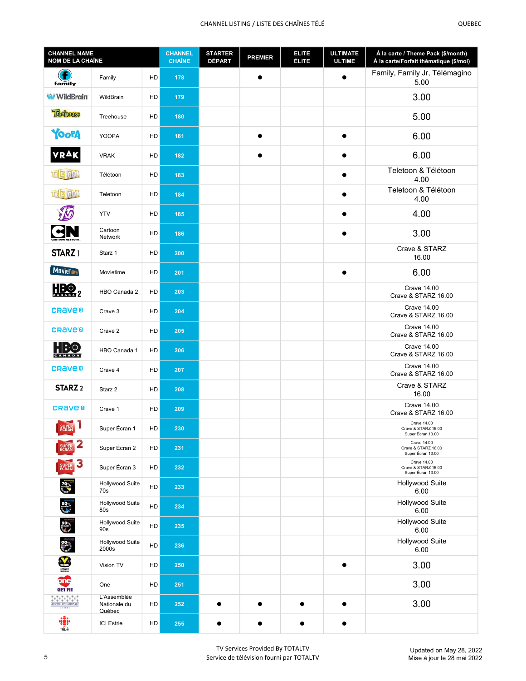| <b>CHANNEL NAME</b><br><b>NOM DE LA CHAÎNE</b> |                                       |    | <b>CHANNEL</b><br><b>CHAÎNE</b> | <b>STARTER</b><br><b>DÉPART</b> | <b>PREMIER</b> | <b>ELITE</b><br><b>ÉLITE</b> | <b>ULTIMATE</b><br><b>ULTIME</b> | À la carte / Theme Pack (\$/month)<br>À la carte/Forfait thématique (\$/moi) |
|------------------------------------------------|---------------------------------------|----|---------------------------------|---------------------------------|----------------|------------------------------|----------------------------------|------------------------------------------------------------------------------|
| family                                         | Family                                | HD | 178                             |                                 |                |                              |                                  | Family, Family Jr, Télémagino<br>5.00                                        |
| <b>W</b> WildBrain                             | WildBrain                             | HD | 179                             |                                 |                |                              |                                  | 3.00                                                                         |
| Trehouse                                       | Treehouse                             | HD | 180                             |                                 |                |                              |                                  | 5.00                                                                         |
| YOOPA                                          | <b>YOOPA</b>                          | HD | 181                             |                                 | $\bullet$      |                              |                                  | 6.00                                                                         |
| <b>VRAK</b>                                    | <b>VRAK</b>                           | HD | 182                             |                                 | ●              |                              | $\bullet$                        | 6.00                                                                         |
| TEE OON                                        | Télétoon                              | HD | 183                             |                                 |                |                              |                                  | Teletoon & Télétoon<br>4.00                                                  |
| TEE OON                                        | Teletoon                              | HD | 184                             |                                 |                |                              | $\bullet$                        | Teletoon & Télétoon<br>4.00                                                  |
|                                                | <b>YTV</b>                            | HD | 185                             |                                 |                |                              |                                  | 4.00                                                                         |
| GN                                             | Cartoon<br>Network                    | HD | 186                             |                                 |                |                              |                                  | 3.00                                                                         |
| <b>STARZ1</b>                                  | Starz 1                               | HD | 200                             |                                 |                |                              |                                  | Crave & STARZ<br>16.00                                                       |
| <b>Movielime</b>                               | Movietime                             | HD | 201                             |                                 |                |                              | $\bullet$                        | 6.00                                                                         |
| <b>HBO</b> <sub>2</sub>                        | HBO Canada 2                          | HD | 203                             |                                 |                |                              |                                  | <b>Crave 14.00</b><br>Crave & STARZ 16.00                                    |
| <b>CRAVE®</b>                                  | Crave 3                               | HD | 204                             |                                 |                |                              |                                  | <b>Crave 14.00</b><br>Crave & STARZ 16.00                                    |
| <b>CRAVE<sup>®</sup></b>                       | Crave 2                               | HD | 205                             |                                 |                |                              |                                  | <b>Crave 14.00</b><br>Crave & STARZ 16.00                                    |
| HBO                                            | HBO Canada 1                          | HD | 206                             |                                 |                |                              |                                  | <b>Crave 14.00</b><br>Crave & STARZ 16.00                                    |
| <b>CRAVE®</b>                                  | Crave 4                               | HD | 207                             |                                 |                |                              |                                  | <b>Crave 14.00</b><br>Crave & STARZ 16.00                                    |
| STARZ <sub>2</sub>                             | Starz 2                               | HD | 208                             |                                 |                |                              |                                  | Crave & STARZ<br>16.00                                                       |
| <b>CRAVE<sup>O</sup></b>                       | Crave 1                               | HD | 209                             |                                 |                |                              |                                  | <b>Crave 14.00</b><br>Crave & STARZ 16.00                                    |
| <b>SUPER</b><br>ECRAN                          | Super Écran 1                         | HD | 230                             |                                 |                |                              |                                  | <b>Crave 14.00</b><br>Crave & STARZ 16.00<br>Super Ecran 13.00               |
| SUPER<br>ÉCRAN                                 | Super Écran 2                         | HD | 231                             |                                 |                |                              |                                  | Crave 14.00<br>Crave & STARZ 16.00<br>Super Écran 13.00                      |
|                                                | Super Écran 3                         | HD | 232                             |                                 |                |                              |                                  | <b>Crave 14.00</b><br>Crave & STARZ 16.00<br>Super Écran 13.00               |
| $\sum_{i=1}^{n}$                               | Hollywood Suite<br>70s                | HD | 233                             |                                 |                |                              |                                  | Hollywood Suite<br>6.00                                                      |
| $\overset{\mathbf{80}}{\bigcirc}$              | Hollywood Suite<br>80s                | HD | 234                             |                                 |                |                              |                                  | Hollywood Suite<br>6.00                                                      |
| $\bullet$                                      | Hollywood Suite<br>90s                | HD | 235                             |                                 |                |                              |                                  | Hollywood Suite<br>6.00                                                      |
| $\overset{\mathbf{OOs}}{\bigcirc}$             | Hollywood Suite<br>2000s              | HD | 236                             |                                 |                |                              |                                  | Hollywood Suite<br>6.00                                                      |
| VISIONER                                       | Vision TV                             | HD | 250                             |                                 |                |                              | ●                                | 3.00                                                                         |
| <b>Dire</b><br>Get Fit                         | One                                   | HD | 251                             |                                 |                |                              |                                  | 3.00                                                                         |
| ASSEMBLÉE NATIONALE<br>QUEBEC                  | L'Assemblée<br>Nationale du<br>Québec | HD | 252                             |                                 |                |                              |                                  | 3.00                                                                         |
| <b>EXPL</b>                                    | <b>ICI Estrie</b>                     | HD | 255                             |                                 |                |                              |                                  |                                                                              |